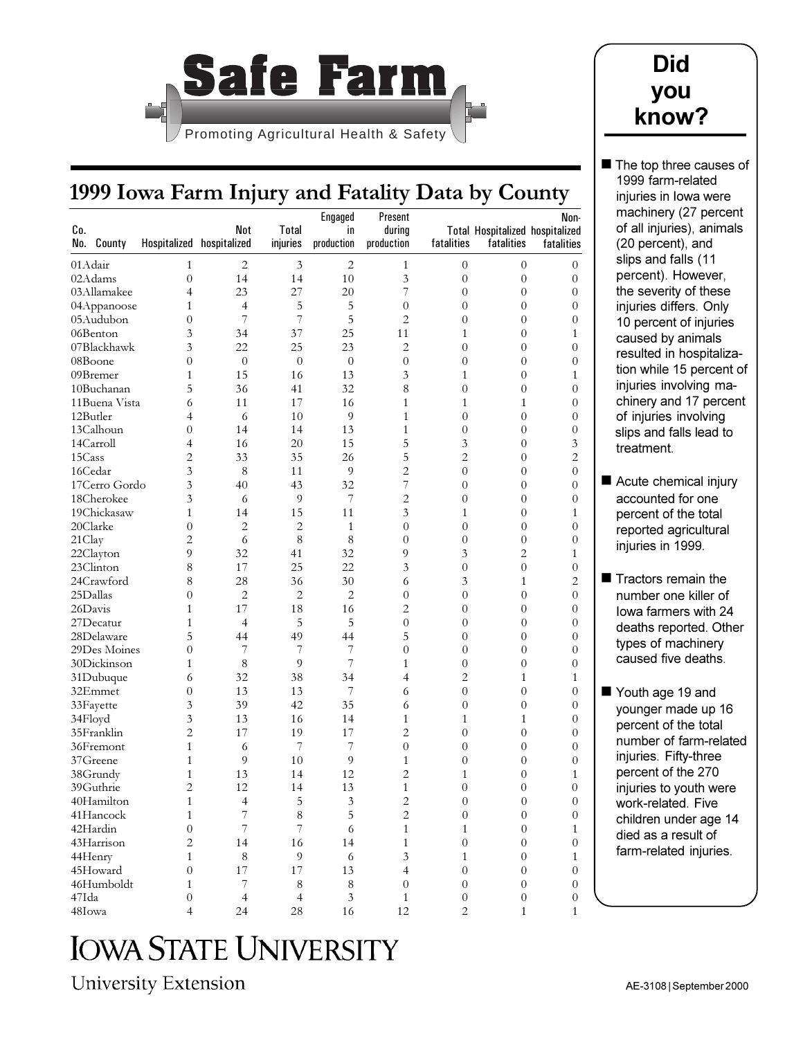

## **Did you know?**

## **1999 Iowa Farm Injury and Fatality Data by County**

|               |                  |                           |                |                |                |                  |                                        |                  | machinery (27 percer    |
|---------------|------------------|---------------------------|----------------|----------------|----------------|------------------|----------------------------------------|------------------|-------------------------|
|               |                  |                           |                | Engaged        | Present        |                  |                                        | Non-             | of all injuries), anima |
| Co.           |                  | Not                       | Total          | in             | during         |                  | <b>Total Hospitalized hospitalized</b> |                  |                         |
| No. County    |                  | Hospitalized hospitalized | injuries       | production     | production     | fatalities       | fatalities                             | fatalities       | (20 percent), and       |
| 01 Adair      | 1                | $\overline{2}$            | 3              | 2              | $\mathbf{1}$   | $\mathbf{0}$     | $\overline{0}$                         | $\overline{0}$   | slips and falls (11     |
| 02Adams       | $\overline{0}$   | 14                        | 14             | 10             | 3              | $\overline{0}$   | $\overline{0}$                         | $\overline{0}$   | percent). However,      |
| 03Allamakee   | $\overline{4}$   | 23                        | 27             | 20             | 7              | 0                | 0                                      | $\overline{0}$   | the severity of these   |
| 04Appanoose   | 1                | $\overline{4}$            | 5              | 5              | $\mathbf{0}$   | $\overline{0}$   | 0                                      | $\overline{0}$   | injuries differs. Only  |
| 05Audubon     | $\overline{0}$   | 7                         | 7              | 5              | $\overline{2}$ | $\theta$         | $\overline{0}$                         | 0                | 10 percent of injuries  |
| 06Benton      | 3                | 34                        | 37             | 25             | 11             |                  | $\theta$                               | 1                | caused by animals       |
| 07Blackhawk   | 3                | 22                        | 25             | 23             | $\overline{c}$ | 0                | $\overline{0}$                         | $\overline{0}$   | resulted in hospitaliza |
| 08Boone       | $\overline{0}$   | $\theta$                  | $\theta$       | $\overline{0}$ | $\mathbf{0}$   | $\overline{0}$   | 0                                      | $\overline{0}$   |                         |
| 09Bremer      | $\mathbf{1}$     | 15                        | 16             | 13             | 3              | 1                | $\overline{0}$                         | 1                | tion while 15 percent   |
| 10Buchanan    | 5                | 36                        | 41             | 32             | 8              | $\overline{0}$   | 0                                      | $\Omega$         | injuries involving ma-  |
| 11Buena Vista | 6                | 11                        | 17             | 16             | $\mathbf{1}$   | 1                | 1                                      | $\overline{0}$   | chinery and 17 perce    |
| 12Butler      | 4                | 6                         | 10             | 9              | $\mathbf{1}$   | $\overline{0}$   | 0                                      | $\overline{0}$   | of injuries involving   |
| 13Calhoun     | $\overline{0}$   | 14                        | 14             | 13             | $\mathbf{1}$   | $\overline{0}$   | $\overline{0}$                         | $\overline{0}$   | slips and falls lead to |
| 14Carroll     | 4                | 16                        | 20             | 15             | 5              | 3                | 0                                      | 3                | treatment.              |
| 15Cass        | 2                | 33                        | 35             | 26             | 5              | 2                | $\overline{0}$                         | 2                |                         |
| 16Cedar       | 3                | 8                         | 11             | 9              | $\overline{c}$ | $\overline{0}$   | 0                                      | $\boldsymbol{0}$ |                         |
| 17Cerro Gordo | 3                | 40                        | 43             | 32             | 7              | $\overline{0}$   | $\overline{0}$                         | $\overline{0}$   | Acute chemical injury   |
| 18Cherokee    | 3                | 6                         | 9              | 7              | $\overline{c}$ | $\theta$         | $\theta$                               | $\overline{0}$   | accounted for one       |
| 19Chickasaw   | $\mathbf{1}$     | 14                        | 15             | 11             | 3              | 1                | $\overline{0}$                         | 1                | percent of the total    |
| 20Clarke      | $\overline{0}$   | $\overline{c}$            | $\overline{2}$ | $\mathbf{1}$   | $\mathbf{0}$   | $\overline{0}$   | 0                                      | $\overline{0}$   | reported agricultural   |
| 21Clay        | $\overline{2}$   | 6                         | 8              | 8              | $\overline{0}$ | $\overline{0}$   | $\overline{0}$                         | $\overline{0}$   | injuries in 1999.       |
| 22Clayton     | 9                | 32                        | 41             | 32             | 9              | 3                | $\overline{2}$                         | 1                |                         |
| 23Clinton     | 8                | 17                        | 25             | 22             | 3              | $\overline{0}$   | $\overline{0}$                         | $\overline{0}$   |                         |
| 24Crawford    | 8                | 28                        | 36             | 30             | 6              | 3                | 1                                      | $\mathbf{2}$     | ■ Tractors remain the   |
| 25Dallas      | $\theta$         | $\overline{2}$            | $\overline{2}$ | $\overline{2}$ | $\overline{0}$ | $\overline{0}$   | $\overline{0}$                         | $\overline{0}$   | number one killer of    |
| 26Davis       | 1                | 17                        | 18             | 16             | $\overline{c}$ | $\theta$         | 0                                      | $\overline{0}$   | lowa farmers with 24    |
| 27Decatur     | $\mathbf{1}$     | $\overline{4}$            | 5              | 5              | $\overline{0}$ | $\overline{0}$   | $\overline{0}$                         | $\overline{0}$   | deaths reported. Othe   |
| 28Delaware    | 5                | 44                        | 49             | 44             | 5              | $\overline{0}$   | 0                                      | $\overline{0}$   |                         |
| 29Des Moines  | $\overline{0}$   | 7                         | 7              | 7              | $\overline{0}$ | $\overline{0}$   | 0                                      | $\overline{0}$   | types of machinery      |
| 30Dickinson   | 1                | 8                         | 9              | $\overline{7}$ | $\mathbf{1}$   | $\theta$         | 0                                      | $\Omega$         | caused five deaths.     |
| 31Dubuque     | 6                | 32                        | 38             | 34             | 4              | 2                | 1                                      | 1                |                         |
| 32Emmet       | $\boldsymbol{0}$ | 13                        | 13             | 7              | 6              | $\overline{0}$   | $\overline{0}$                         | $\boldsymbol{0}$ | Youth age 19 and        |
| 33 Fayette    | 3                | 39                        | 42             | 35             | 6              | $\overline{0}$   | $\overline{0}$                         | $\overline{0}$   | younger made up 16      |
| 34Floyd       | 3                | 13                        | 16             | 14             | $\mathbf{1}$   |                  | 1                                      | $\overline{0}$   | percent of the total    |
| 35Franklin    | 2                | 17                        | 19             | 17             | $\overline{c}$ | $\overline{0}$   | $\overline{0}$                         | $\overline{0}$   |                         |
| 36Fremont     | $\mathbf{1}$     | 6                         | 7              | 7              | $\mathbf{0}$   | $\theta$         | 0                                      | $\overline{0}$   | number of farm-relate   |
| 37Greene      | $\mathbf{1}$     | 9                         | 10             | 9              | $\mathbf{1}$   | 0                | 0                                      | $\overline{0}$   | injuries. Fifty-three   |
| 38Grundy      | $\mathbf{1}$     | 13                        | 14             | 12             | $\overline{c}$ |                  | 0                                      | 1                | percent of the 270      |
| 39Guthrie     | $\overline{c}$   | 12                        | 14             | 13             | $\mathbf{1}$   | $\Omega$         | $\theta$                               | $\Omega$         | injuries to youth were  |
| 40Hamilton    | $\mathbf{1}$     | $\overline{\mathcal{A}}$  | 5              | $\mathfrak{Z}$ | $\sqrt{2}$     | $\boldsymbol{0}$ | $\boldsymbol{0}$                       | $\overline{0}$   | work-related. Five      |
| 41Hancock     | $\mathbf{1}$     | 7                         | 8              | 5              | $\overline{c}$ | $\overline{0}$   | $\mathbf{0}$                           | $\overline{0}$   | children under age 14   |
| 42Hardin      | $\overline{0}$   | 7                         | 7              | 6              | $\mathbf{1}$   | $\mathbf{1}$     | $\overline{0}$                         | 1                | died as a result of     |
| 43Harrison    | $\overline{2}$   | 14                        | 16             | 14             | $\mathbf{1}$   | $\mathbf{0}$     | $\overline{0}$                         | $\overline{0}$   |                         |
| 44Henry       | $\mathbf{1}$     | 8                         | 9              | 6              | 3              | $\mathbf{1}$     | $\overline{0}$                         | $\mathbf{1}$     | farm-related injuries.  |
| 45Howard      | $\overline{0}$   | 17                        | 17             | 13             | 4              | $\mathbf{0}$     | $\overline{0}$                         | $\overline{0}$   |                         |
| 46Humboldt    | 1                | 7                         | 8              | $\,8$          | $\overline{0}$ | $\overline{0}$   | $\theta$                               | $\overline{0}$   |                         |
| 47Ida         | $\mathbf{0}$     | $\overline{4}$            | $\overline{4}$ | 3              | $\mathbf{1}$   | $\boldsymbol{0}$ | $\mathbf{0}$                           | $\overline{0}$   |                         |
| 48Iowa        | 4                | 24                        | 28             | 16             | 12             | 2                | 1                                      | $\mathbf{1}$     |                         |

**IOWA STATE UNIVERSITY** 

University Extension

The top three causes of 1999 farm-related injuries in Iowa were machinery (27 percent of all injuries), animals (20 percent), and slips and falls (11 percent). However, he severity of these njuries differs. Only 0 percent of injuries caused by animals resulted in hospitalizaion while 15 percent of njuries involving machinery and 17 percent of injuries involving

**Tractors remain the** number one killer of owa farmers with 24 deaths reported. Other ypes of machinery caused five deaths.

Youth age 19 and younger made up 16 percent of the total number of farm-related njuries. Fifty-three percent of the 270 njuries to youth were work-related. Five children under age 14 died as a result of arm-related injuries.